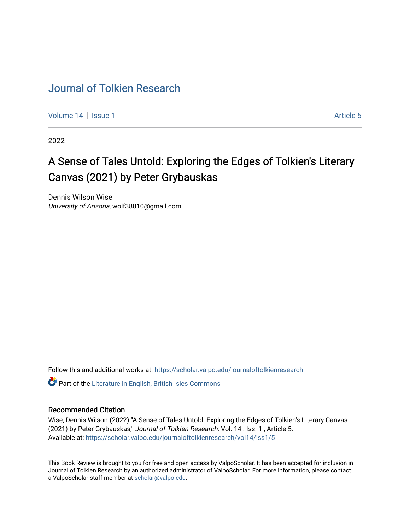## [Journal of Tolkien Research](https://scholar.valpo.edu/journaloftolkienresearch)

[Volume 14](https://scholar.valpo.edu/journaloftolkienresearch/vol14) | [Issue 1](https://scholar.valpo.edu/journaloftolkienresearch/vol14/iss1) Article 5

2022

## A Sense of Tales Untold: Exploring the Edges of Tolkien's Literary Canvas (2021) by Peter Grybauskas

Dennis Wilson Wise University of Arizona, wolf38810@gmail.com

Follow this and additional works at: [https://scholar.valpo.edu/journaloftolkienresearch](https://scholar.valpo.edu/journaloftolkienresearch?utm_source=scholar.valpo.edu%2Fjournaloftolkienresearch%2Fvol14%2Fiss1%2F5&utm_medium=PDF&utm_campaign=PDFCoverPages) 

**C** Part of the [Literature in English, British Isles Commons](http://network.bepress.com/hgg/discipline/456?utm_source=scholar.valpo.edu%2Fjournaloftolkienresearch%2Fvol14%2Fiss1%2F5&utm_medium=PDF&utm_campaign=PDFCoverPages)

## Recommended Citation

Wise, Dennis Wilson (2022) "A Sense of Tales Untold: Exploring the Edges of Tolkien's Literary Canvas (2021) by Peter Grybauskas," Journal of Tolkien Research: Vol. 14 : Iss. 1 , Article 5. Available at: [https://scholar.valpo.edu/journaloftolkienresearch/vol14/iss1/5](https://scholar.valpo.edu/journaloftolkienresearch/vol14/iss1/5?utm_source=scholar.valpo.edu%2Fjournaloftolkienresearch%2Fvol14%2Fiss1%2F5&utm_medium=PDF&utm_campaign=PDFCoverPages) 

This Book Review is brought to you for free and open access by ValpoScholar. It has been accepted for inclusion in Journal of Tolkien Research by an authorized administrator of ValpoScholar. For more information, please contact a ValpoScholar staff member at [scholar@valpo.edu](mailto:scholar@valpo.edu).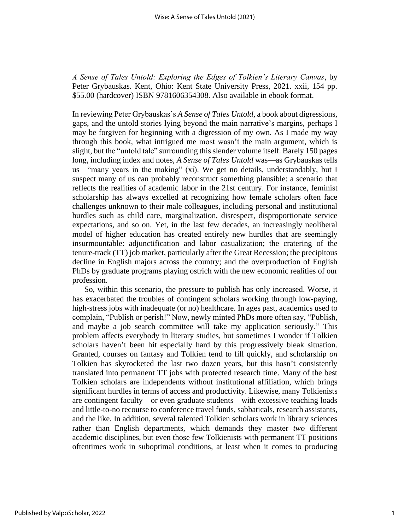*A Sense of Tales Untold: Exploring the Edges of Tolkien's Literary Canvas*, by Peter Grybauskas. Kent, Ohio: Kent State University Press, 2021. xxii, 154 pp. \$55.00 (hardcover) ISBN 9781606354308. Also available in ebook format.

In reviewing Peter Grybauskas's *A Sense of Tales Untold*, a book about digressions, gaps, and the untold stories lying beyond the main narrative's margins, perhaps I may be forgiven for beginning with a digression of my own. As I made my way through this book, what intrigued me most wasn't the main argument, which is slight, but the "untold tale" surrounding this slender volume itself. Barely 150 pages long, including index and notes, *A Sense of Tales Untold* was—as Grybauskas tells us—"many years in the making" (xi). We get no details, understandably, but I suspect many of us can probably reconstruct something plausible: a scenario that reflects the realities of academic labor in the 21st century. For instance, feminist scholarship has always excelled at recognizing how female scholars often face challenges unknown to their male colleagues, including personal and institutional hurdles such as child care, marginalization, disrespect, disproportionate service expectations, and so on. Yet, in the last few decades, an increasingly neoliberal model of higher education has created entirely new hurdles that are seemingly insurmountable: adjunctification and labor casualization; the cratering of the tenure-track (TT) job market, particularly after the Great Recession; the precipitous decline in English majors across the country; and the overproduction of English PhDs by graduate programs playing ostrich with the new economic realities of our profession.

So, within this scenario, the pressure to publish has only increased. Worse, it has exacerbated the troubles of contingent scholars working through low-paying, high-stress jobs with inadequate (or no) healthcare. In ages past, academics used to complain, "Publish or perish!" Now, newly minted PhDs more often say, "Publish, and maybe a job search committee will take my application seriously." This problem affects everybody in literary studies, but sometimes I wonder if Tolkien scholars haven't been hit especially hard by this progressively bleak situation. Granted, courses on fantasy and Tolkien tend to fill quickly, and scholarship *on*  Tolkien has skyrocketed the last two dozen years, but this hasn't consistently translated into permanent TT jobs with protected research time. Many of the best Tolkien scholars are independents without institutional affiliation, which brings significant hurdles in terms of access and productivity. Likewise, many Tolkienists are contingent faculty—or even graduate students—with excessive teaching loads and little-to-no recourse to conference travel funds, sabbaticals, research assistants, and the like. In addition, several talented Tolkien scholars work in library sciences rather than English departments, which demands they master *two* different academic disciplines, but even those few Tolkienists with permanent TT positions oftentimes work in suboptimal conditions, at least when it comes to producing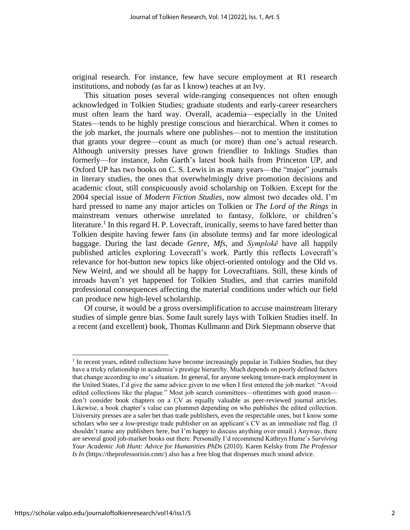original research. For instance, few have secure employment at R1 research institutions, and nobody (as far as I know) teaches at an Ivy.

This situation poses several wide-ranging consequences not often enough acknowledged in Tolkien Studies; graduate students and early-career researchers must often learn the hard way. Overall, academia—especially in the United States—tends to be highly prestige conscious and hierarchical. When it comes to the job market, the journals where one publishes—not to mention the institution that grants your degree—count as much (or more) than one's actual research. Although university presses have grown friendlier to Inklings Studies than formerly—for instance, John Garth's latest book hails from Princeton UP, and Oxford UP has two books on C. S. Lewis in as many years—the "major" journals in literary studies, the ones that overwhelmingly drive promotion decisions and academic clout, still conspicuously avoid scholarship on Tolkien. Except for the 2004 special issue of *Modern Fiction Studies*, now almost two decades old, I'm hard pressed to name any major articles on Tolkien or *The Lord of the Rings* in mainstream venues otherwise unrelated to fantasy, folklore, or children's literature.<sup>1</sup> In this regard H. P. Lovecraft, ironically, seems to have fared better than Tolkien despite having fewer fans (in absolute terms) and far more ideological baggage. During the last decade *Genre*, *Mfs,* and *Symplokē* have all happily published articles exploring Lovecraft's work. Partly this reflects Lovecraft's relevance for hot-button new topics like object-oriented ontology and the Old vs. New Weird, and we should all be happy for Lovecraftians. Still, these kinds of inroads haven't yet happened for Tolkien Studies, and that carries manifold professional consequences affecting the material conditions under which our field can produce new high-level scholarship.

Of course, it would be a gross oversimplification to accuse mainstream literary studies of simple genre bias. Some fault surely lays with Tolkien Studies itself. In a recent (and excellent) book, Thomas Kullmann and Dirk Siepmann observe that

<sup>&</sup>lt;sup>1</sup> In recent years, edited collections have become increasingly popular in Tolkien Studies, but they have a tricky relationship in academia's prestige hierarchy. Much depends on poorly defined factors that change according to one's situation. In general, for anyone seeking tenure-track employment in the United States, I'd give the same advice given to me when I first entered the job market: "Avoid edited collections like the plague." Most job search committees—oftentimes with good reason don't consider book chapters on a CV as equally valuable as peer-reviewed journal articles. Likewise, a book chapter's value can plummet depending on who publishes the edited collection. University presses are a safer bet than trade publishers, even the respectable ones, but I know some scholars who see a *low*-prestige trade publisher on an applicant's CV as an immediate red flag. (I shouldn't name any publishers here, but I'm happy to discuss anything over email.) Anyway, there are several good job-market books out there. Personally I'd recommend Kathryn Hume's *Surviving Your Academic Job Hunt: Advice for Humanities PhDs* (2010). Karen Kelsky from *The Professor Is In* (https://theprofessorisin.com/) also has a free blog that dispenses much sound advice.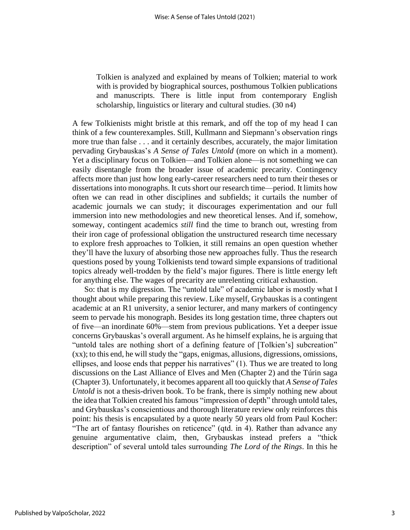Tolkien is analyzed and explained by means of Tolkien; material to work with is provided by biographical sources, posthumous Tolkien publications and manuscripts. There is little input from contemporary English scholarship, linguistics or literary and cultural studies. (30 n4)

A few Tolkienists might bristle at this remark, and off the top of my head I can think of a few counterexamples. Still, Kullmann and Siepmann's observation rings more true than false . . . and it certainly describes, accurately, the major limitation pervading Grybauskas's *A Sense of Tales Untold* (more on which in a moment). Yet a disciplinary focus on Tolkien—and Tolkien alone—is not something we can easily disentangle from the broader issue of academic precarity. Contingency affects more than just how long early-career researchers need to turn their theses or dissertations into monographs. It cuts short our research time—period. It limits how often we can read in other disciplines and subfields; it curtails the number of academic journals we can study; it discourages experimentation and our full immersion into new methodologies and new theoretical lenses. And if, somehow, someway, contingent academics *still* find the time to branch out, wresting from their iron cage of professional obligation the unstructured research time necessary to explore fresh approaches to Tolkien, it still remains an open question whether they'll have the luxury of absorbing those new approaches fully. Thus the research questions posed by young Tolkienists tend toward simple expansions of traditional topics already well-trodden by the field's major figures. There is little energy left for anything else. The wages of precarity are unrelenting critical exhaustion.

So: that is my digression. The "untold tale" of academic labor is mostly what I thought about while preparing this review. Like myself, Grybauskas is a contingent academic at an R1 university, a senior lecturer, and many markers of contingency seem to pervade his monograph. Besides its long gestation time, three chapters out of five—an inordinate 60%—stem from previous publications. Yet a deeper issue concerns Grybauskas's overall argument. As he himself explains, he is arguing that "untold tales are nothing short of a defining feature of [Tolkien's] subcreation" (xx); to this end, he will study the "gaps, enigmas, allusions, digressions, omissions, ellipses, and loose ends that pepper his narratives" (1). Thus we are treated to long discussions on the Last Alliance of Elves and Men (Chapter 2) and the Túrin saga (Chapter 3). Unfortunately, it becomes apparent all too quickly that *A Sense of Tales Untold* is not a thesis-driven book. To be frank, there is simply nothing new about the idea that Tolkien created his famous "impression of depth" through untold tales, and Grybauskas's conscientious and thorough literature review only reinforces this point: his thesis is encapsulated by a quote nearly 50 years old from Paul Kocher: "The art of fantasy flourishes on reticence" (qtd. in 4). Rather than advance any genuine argumentative claim, then, Grybauskas instead prefers a "thick description" of several untold tales surrounding *The Lord of the Rings*. In this he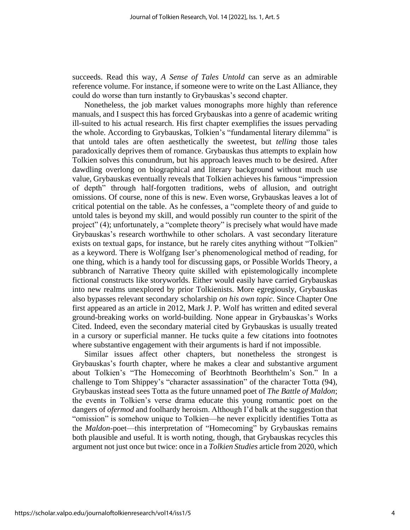succeeds. Read this way, *A Sense of Tales Untold* can serve as an admirable reference volume. For instance, if someone were to write on the Last Alliance, they could do worse than turn instantly to Grybauskas's second chapter.

Nonetheless, the job market values monographs more highly than reference manuals, and I suspect this has forced Grybauskas into a genre of academic writing ill-suited to his actual research. His first chapter exemplifies the issues pervading the whole. According to Grybauskas, Tolkien's "fundamental literary dilemma" is that untold tales are often aesthetically the sweetest, but *telling* those tales paradoxically deprives them of romance. Grybauskas thus attempts to explain how Tolkien solves this conundrum, but his approach leaves much to be desired. After dawdling overlong on biographical and literary background without much use value, Grybauskas eventually reveals that Tolkien achieves his famous "impression of depth" through half-forgotten traditions, webs of allusion, and outright omissions. Of course, none of this is new. Even worse, Grybauskas leaves a lot of critical potential on the table. As he confesses, a "complete theory of and guide to untold tales is beyond my skill, and would possibly run counter to the spirit of the project" (4); unfortunately, a "complete theory" is precisely what would have made Grybauskas's research worthwhile to other scholars. A vast secondary literature exists on textual gaps, for instance, but he rarely cites anything without "Tolkien" as a keyword. There is Wolfgang Iser's phenomenological method of reading, for one thing, which is a handy tool for discussing gaps, or Possible Worlds Theory, a subbranch of Narrative Theory quite skilled with epistemologically incomplete fictional constructs like storyworlds. Either would easily have carried Grybauskas into new realms unexplored by prior Tolkienists. More egregiously, Grybauskas also bypasses relevant secondary scholarship *on his own topic*. Since Chapter One first appeared as an article in 2012, Mark J. P. Wolf has written and edited several ground-breaking works on world-building. None appear in Grybauskas's Works Cited. Indeed, even the secondary material cited by Grybauskas is usually treated in a cursory or superficial manner. He tucks quite a few citations into footnotes where substantive engagement with their arguments is hard if not impossible.

Similar issues affect other chapters, but nonetheless the strongest is Grybauskas's fourth chapter, where he makes a clear and substantive argument about Tolkien's "The Homecoming of Beorhtnoth Beorhthelm's Son." In a challenge to Tom Shippey's "character assassination" of the character Totta (94), Grybauskas instead sees Totta as the future unnamed poet of *The Battle of Maldon*; the events in Tolkien's verse drama educate this young romantic poet on the dangers of *ofermod* and foolhardy heroism. Although I'd balk at the suggestion that "omission" is somehow unique to Tolkien—he never explicitly identifies Totta as the *Maldon-*poet—this interpretation of "Homecoming" by Grybauskas remains both plausible and useful. It is worth noting, though, that Grybauskas recycles this argument not just once but twice: once in a *Tolkien Studies* article from 2020, which